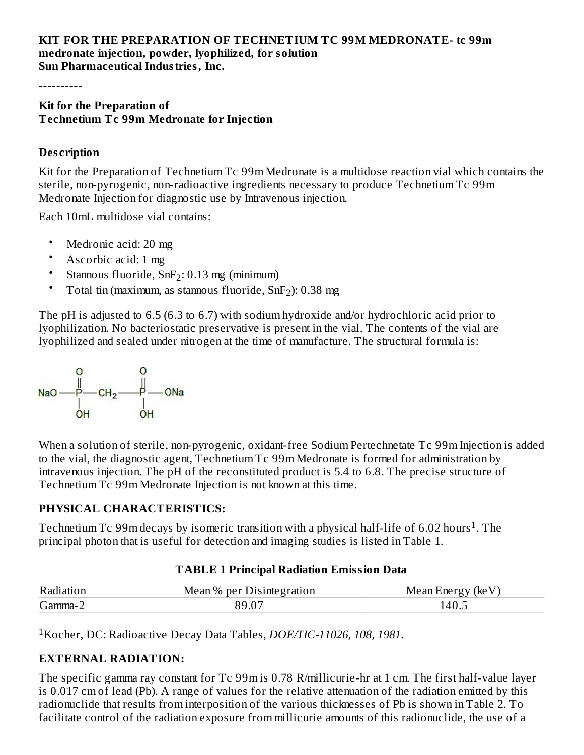#### **KIT FOR THE PREPARATION OF TECHNETIUM TC 99M MEDRONATE- tc 99m medronate injection, powder, lyophilized, for solution Sun Pharmaceutical Industries, Inc.**

----------

#### **Kit for the Preparation of Technetium Tc 99m Medronate for Injection**

#### **Des cription**

Kit for the Preparation of Technetium Tc 99m Medronate is a multidose reaction vial which contains the sterile, non-pyrogenic, non-radioactive ingredients necessary to produce Technetium Tc 99m Medronate Injection for diagnostic use by Intravenous injection.

Each 10mL multidose vial contains:

- Medronic acid: 20 mg
- Ascorbic acid: 1 mg
- Stannous fluoride,  $SnF_2$ : 0.13 mg (minimum)
- Total tin (maximum, as stannous fluoride,  $SnF<sub>2</sub>$ ): 0.38 mg

The pH is adjusted to 6.5 (6.3 to 6.7) with sodium hydroxide and/or hydrochloric acid prior to lyophilization. No bacteriostatic preservative is present in the vial. The contents of the vial are lyophilized and sealed under nitrogen at the time of manufacture. The structural formula is:



When a solution of sterile, non-pyrogenic, oxidant-free Sodium Pertechnetate Tc 99m Injection is added to the vial, the diagnostic agent, Technetium Tc 99m Medronate is formed for administration by intravenous injection. The pH of the reconstituted product is 5.4 to 6.8. The precise structure of Technetium Tc 99m Medronate Injection is not known at this time.

#### **PHYSICAL CHARACTERISTICS:**

Technetium Tc 99m decays by isomeric transition with a physical half-life of 6.02 hours<sup>1</sup>. The principal photon that is useful for detection and imaging studies is listed in Table 1.

#### **TABLE 1 Principal Radiation Emission Data**

| Radiation | Mean %<br>Disintegration<br>ner | (keV)<br>∖nerσv<br>Mean |
|-----------|---------------------------------|-------------------------|
| Gamma-    |                                 | 40.5                    |

Kocher, DC: Radioactive Decay Data Tables, *DOE/TIC-11026, 108, 1981*. 1

#### **EXTERNAL RADIATION:**

The specific gamma ray constant for Tc 99m is 0.78 R/millicurie-hr at 1 cm. The first half-value layer is 0.017 cm of lead (Pb). A range of values for the relative attenuation of the radiation emitted by this radionuclide that results from interposition of the various thicknesses of Pb is shown in Table 2. To facilitate control of the radiation exposure from millicurie amounts of this radionuclide, the use of a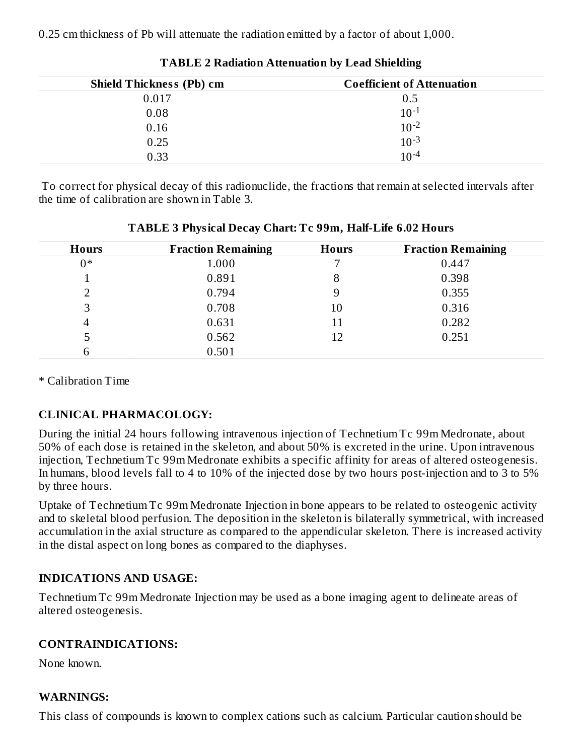0.25 cm thickness of Pb will attenuate the radiation emitted by a factor of about 1,000.

| <b>Shield Thickness (Pb) cm</b> | <b>Coefficient of Attenuation</b> |
|---------------------------------|-----------------------------------|
| 0.017                           | 0.5                               |
| 0.08                            | $10^{-1}$                         |
| 0.16                            | $10^{-2}$                         |
| 0.25                            | $10^{-3}$                         |
| 0.33                            | $10^{-4}$                         |

**TABLE 2 Radiation Attenuation by Lead Shielding**

To correct for physical decay of this radionuclide, the fractions that remain at selected intervals after the time of calibration are shown in Table 3.

| <b>Hours</b> | <b>Fraction Remaining</b> |    | <b>Fraction Remaining</b> |
|--------------|---------------------------|----|---------------------------|
| $0*$         | 1.000                     |    | 0.447                     |
|              | 0.891                     | 8  | 0.398                     |
|              | 0.794                     | 9  | 0.355                     |
| 3            | 0.708                     | 10 | 0.316                     |
| 4            | 0.631                     | 11 | 0.282                     |
| 5            | 0.562                     | 12 | 0.251                     |
| 6            | 0.501                     |    |                           |

**TABLE 3 Physical Decay Chart: Tc 99m, Half-Life 6.02 Hours**

\* Calibration Time

# **CLINICAL PHARMACOLOGY:**

During the initial 24 hours following intravenous injection of Technetium Tc 99m Medronate, about 50% of each dose is retained in the skeleton, and about 50% is excreted in the urine. Upon intravenous injection, Technetium Tc 99m Medronate exhibits a specific affinity for areas of altered osteogenesis. In humans, blood levels fall to 4 to 10% of the injected dose by two hours post-injection and to 3 to 5% by three hours.

Uptake of Technetium Tc 99m Medronate Injection in bone appears to be related to osteogenic activity and to skeletal blood perfusion. The deposition in the skeleton is bilaterally symmetrical, with increased accumulation in the axial structure as compared to the appendicular skeleton. There is increased activity in the distal aspect on long bones as compared to the diaphyses.

# **INDICATIONS AND USAGE:**

Technetium Tc 99m Medronate Injection may be used as a bone imaging agent to delineate areas of altered osteogenesis.

# **CONTRAINDICATIONS:**

None known.

### **WARNINGS:**

This class of compounds is known to complex cations such as calcium. Particular caution should be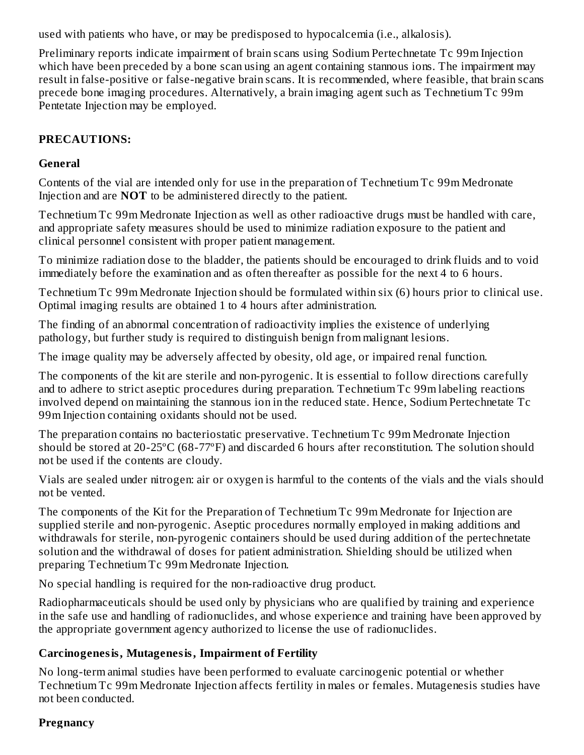used with patients who have, or may be predisposed to hypocalcemia (i.e., alkalosis).

Preliminary reports indicate impairment of brain scans using Sodium Pertechnetate Tc 99m Injection which have been preceded by a bone scan using an agent containing stannous ions. The impairment may result in false-positive or false-negative brain scans. It is recommended, where feasible, that brain scans precede bone imaging procedures. Alternatively, a brain imaging agent such as Technetium Tc 99m Pentetate Injection may be employed.

### **PRECAUTIONS:**

### **General**

Contents of the vial are intended only for use in the preparation of Technetium Tc 99m Medronate Injection and are **NOT** to be administered directly to the patient.

Technetium Tc 99m Medronate Injection as well as other radioactive drugs must be handled with care, and appropriate safety measures should be used to minimize radiation exposure to the patient and clinical personnel consistent with proper patient management.

To minimize radiation dose to the bladder, the patients should be encouraged to drink fluids and to void immediately before the examination and as often thereafter as possible for the next 4 to 6 hours.

Technetium Tc 99m Medronate Injection should be formulated within six (6) hours prior to clinical use. Optimal imaging results are obtained 1 to 4 hours after administration.

The finding of an abnormal concentration of radioactivity implies the existence of underlying pathology, but further study is required to distinguish benign from malignant lesions.

The image quality may be adversely affected by obesity, old age, or impaired renal function.

The components of the kit are sterile and non-pyrogenic. It is essential to follow directions carefully and to adhere to strict aseptic procedures during preparation. Technetium Tc 99m labeling reactions involved depend on maintaining the stannous ion in the reduced state. Hence, Sodium Pertechnetate Tc 99m Injection containing oxidants should not be used.

The preparation contains no bacteriostatic preservative. Technetium Tc 99m Medronate Injection should be stored at 20-25ºC (68-77ºF) and discarded 6 hours after reconstitution. The solution should not be used if the contents are cloudy.

Vials are sealed under nitrogen: air or oxygen is harmful to the contents of the vials and the vials should not be vented.

The components of the Kit for the Preparation of Technetium Tc 99m Medronate for Injection are supplied sterile and non-pyrogenic. Aseptic procedures normally employed in making additions and withdrawals for sterile, non-pyrogenic containers should be used during addition of the pertechnetate solution and the withdrawal of doses for patient administration. Shielding should be utilized when preparing Technetium Tc 99m Medronate Injection.

No special handling is required for the non-radioactive drug product.

Radiopharmaceuticals should be used only by physicians who are qualified by training and experience in the safe use and handling of radionuclides, and whose experience and training have been approved by the appropriate government agency authorized to license the use of radionuclides.

### **Carcinogenesis, Mutagenesis, Impairment of Fertility**

No long-term animal studies have been performed to evaluate carcinogenic potential or whether Technetium Tc 99m Medronate Injection affects fertility in males or females. Mutagenesis studies have not been conducted.

### **Pregnancy**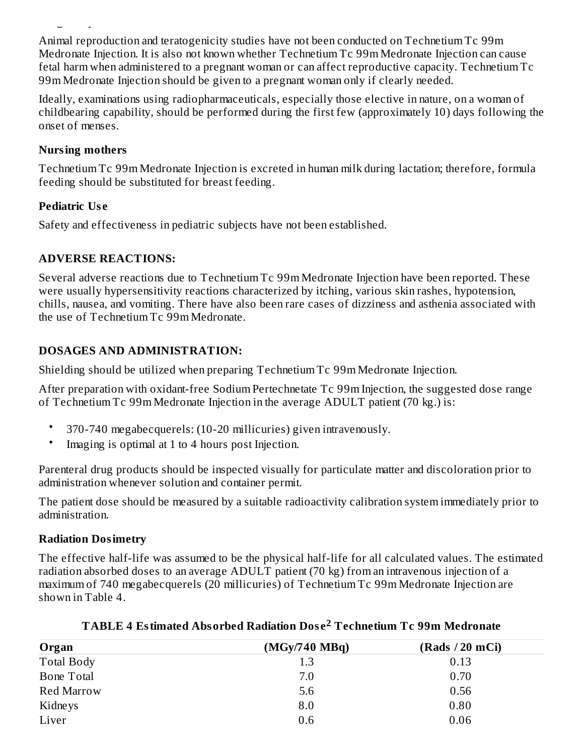Animal reproduction and teratogenicity studies have not been conducted on Technetium Tc 99m Medronate Injection. It is also not known whether Technetium Tc 99m Medronate Injection can cause fetal harm when administered to a pregnant woman or can affect reproductive capacity. Technetium Tc 99m Medronate Injection should be given to a pregnant woman only if clearly needed.

Ideally, examinations using radiopharmaceuticals, especially those elective in nature, on a woman of childbearing capability, should be performed during the first few (approximately 10) days following the onset of menses.

#### **Nursing mothers**

**Pregnancy**

Technetium Tc 99m Medronate Injection is excreted in human milk during lactation; therefore, formula feeding should be substituted for breast feeding.

### **Pediatric Us e**

Safety and effectiveness in pediatric subjects have not been established.

### **ADVERSE REACTIONS:**

Several adverse reactions due to Technetium Tc 99m Medronate Injection have been reported. These were usually hypersensitivity reactions characterized by itching, various skin rashes, hypotension, chills, nausea, and vomiting. There have also been rare cases of dizziness and asthenia associated with the use of Technetium Tc 99m Medronate.

# **DOSAGES AND ADMINISTRATION:**

Shielding should be utilized when preparing Technetium Tc 99m Medronate Injection.

After preparation with oxidant-free Sodium Pertechnetate Tc 99m Injection, the suggested dose range of Technetium Tc 99m Medronate Injection in the average ADULT patient (70 kg.) is:

- 370-740 megabecquerels: (10-20 millicuries) given intravenously.
- Imaging is optimal at 1 to 4 hours post Injection.

Parenteral drug products should be inspected visually for particulate matter and discoloration prior to administration whenever solution and container permit.

The patient dose should be measured by a suitable radioactivity calibration system immediately prior to administration.

# **Radiation Dosimetry**

The effective half-life was assumed to be the physical half-life for all calculated values. The estimated radiation absorbed doses to an average ADULT patient (70 kg) from an intravenous injection of a maximum of 740 megabecquerels (20 millicuries) of Technetium Tc 99m Medronate Injection are shown in Table 4.

| Organ             | (MGy/740 MBq) | (Rads / 20 mCi) |
|-------------------|---------------|-----------------|
| <b>Total Body</b> | 1.3           | 0.13            |
| Bone Total        | 7.0           | 0.70            |
| Red Marrow        | 5.6           | 0.56            |
| Kidneys           | 8.0           | 0.80            |
| Liver             | 0.6           | 0.06            |

### **TABLE 4 Estimated Absorbed Radiation Dos e Technetium Tc 99m Medronate 2**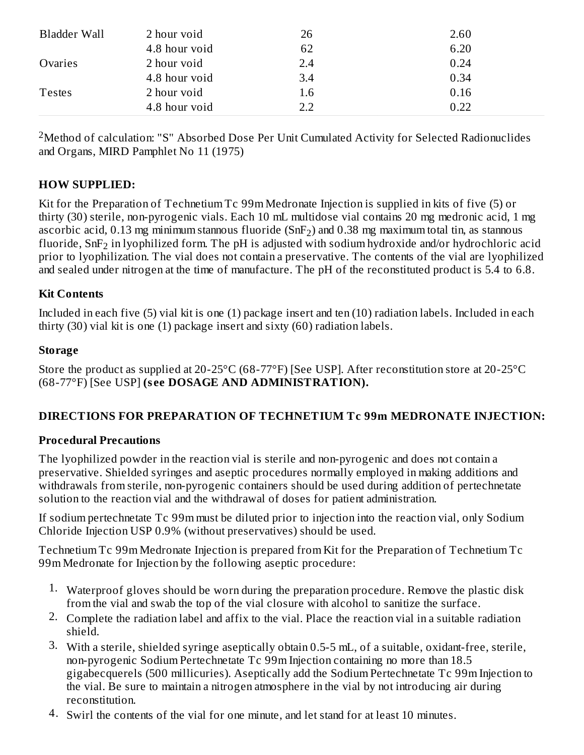| Bladder Wall  | 2 hour void   | 26  | 2.60 |
|---------------|---------------|-----|------|
|               | 4.8 hour void | 62  | 6.20 |
| Ovaries       | 2 hour void   | 2.4 | 0.24 |
|               | 4.8 hour void | 3.4 | 0.34 |
| <b>Testes</b> | 2 hour void   | 1.6 | 0.16 |
|               | 4.8 hour void | 2.2 | 0.22 |

 $2$ Method of calculation: "S" Absorbed Dose Per Unit Cumulated Activity for Selected Radionuclides and Organs, MIRD Pamphlet No 11 (1975)

#### **HOW SUPPLIED:**

Kit for the Preparation of Technetium Tc 99m Medronate Injection is supplied in kits of five (5) or thirty (30) sterile, non-pyrogenic vials. Each 10 mL multidose vial contains 20 mg medronic acid, 1 mg ascorbic acid, 0.13 mg minimum stannous fluoride (SnF<sub>2</sub>) and 0.38 mg maximum total tin, as stannous fluoride, SnF $_{\rm 2}$  in lyophilized form. The pH is adjusted with sodium hydroxide and/or hydrochloric acid prior to lyophilization. The vial does not contain a preservative. The contents of the vial are lyophilized and sealed under nitrogen at the time of manufacture. The pH of the reconstituted product is 5.4 to 6.8.

#### **Kit Contents**

Included in each five (5) vial kit is one (1) package insert and ten (10) radiation labels. Included in each thirty (30) vial kit is one (1) package insert and sixty (60) radiation labels.

#### **Storage**

Store the product as supplied at 20-25°C (68-77°F) [See USP]. After reconstitution store at 20-25°C (68-77°F) [See USP] **(s ee DOSAGE AND ADMINISTRATION).**

#### **DIRECTIONS FOR PREPARATION OF TECHNETIUM Tc 99m MEDRONATE INJECTION:**

#### **Procedural Precautions**

The lyophilized powder in the reaction vial is sterile and non-pyrogenic and does not contain a preservative. Shielded syringes and aseptic procedures normally employed in making additions and withdrawals from sterile, non-pyrogenic containers should be used during addition of pertechnetate solution to the reaction vial and the withdrawal of doses for patient administration.

If sodium pertechnetate Tc 99m must be diluted prior to injection into the reaction vial, only Sodium Chloride Injection USP 0.9% (without preservatives) should be used.

Technetium Tc 99m Medronate Injection is prepared from Kit for the Preparation of Technetium Tc 99m Medronate for Injection by the following aseptic procedure:

- 1. Waterproof gloves should be worn during the preparation procedure. Remove the plastic disk from the vial and swab the top of the vial closure with alcohol to sanitize the surface.
- 2. Complete the radiation label and affix to the vial. Place the reaction vial in a suitable radiation shield.
- 3. With a sterile, shielded syringe aseptically obtain 0.5-5 mL, of a suitable, oxidant-free, sterile, non-pyrogenic Sodium Pertechnetate Tc 99m Injection containing no more than 18.5 gigabecquerels (500 millicuries). Aseptically add the Sodium Pertechnetate Tc 99m Injection to the vial. Be sure to maintain a nitrogen atmosphere in the vial by not introducing air during reconstitution.
- 4. Swirl the contents of the vial for one minute, and let stand for at least 10 minutes.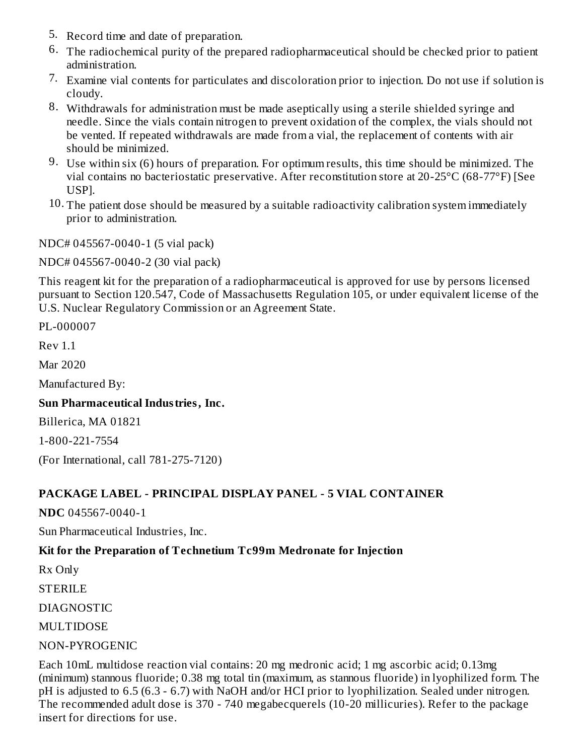- 5. Record time and date of preparation.
- 6. The radiochemical purity of the prepared radiopharmaceutical should be checked prior to patient administration.
- 7. Examine vial contents for particulates and discoloration prior to injection. Do not use if solution is cloudy.
- 8. Withdrawals for administration must be made aseptically using a sterile shielded syringe and needle. Since the vials contain nitrogen to prevent oxidation of the complex, the vials should not be vented. If repeated withdrawals are made from a vial, the replacement of contents with air should be minimized.
- 9. Use within six (6) hours of preparation. For optimum results, this time should be minimized. The vial contains no bacteriostatic preservative. After reconstitution store at 20-25°C (68-77°F) [See USP].
- 10. The patient dose should be measured by a suitable radioactivity calibration system immediately prior to administration.

NDC# 045567-0040-1 (5 vial pack)

NDC# 045567-0040-2 (30 vial pack)

This reagent kit for the preparation of a radiopharmaceutical is approved for use by persons licensed pursuant to Section 120.547, Code of Massachusetts Regulation 105, or under equivalent license of the U.S. Nuclear Regulatory Commission or an Agreement State.

PL-000007

Rev 1.1

Mar 2020

Manufactured By:

#### **Sun Pharmaceutical Industries, Inc.**

Billerica, MA 01821

1-800-221-7554

(For International, call 781-275-7120)

#### **PACKAGE LABEL - PRINCIPAL DISPLAY PANEL - 5 VIAL CONTAINER**

**NDC** 045567-0040-1

Sun Pharmaceutical Industries, Inc.

#### **Kit for the Preparation of Technetium Tc99m Medronate for Injection**

Rx Only

STERILE

DIAGNOSTIC

MULTIDOSE

#### NON-PYROGENIC

Each 10mL multidose reaction vial contains: 20 mg medronic acid; 1 mg ascorbic acid; 0.13mg (minimum) stannous fluoride; 0.38 mg total tin (maximum, as stannous fluoride) in lyophilized form. The pH is adjusted to 6.5 (6.3 - 6.7) with NaOH and/or HCI prior to lyophilization. Sealed under nitrogen. The recommended adult dose is 370 - 740 megabecquerels (10-20 millicuries). Refer to the package insert for directions for use.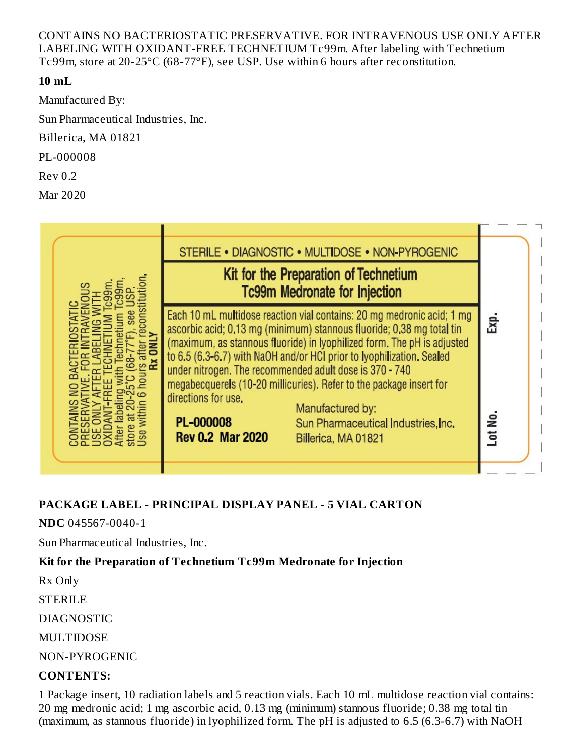CONTAINS NO BACTERIOSTATIC PRESERVATIVE. FOR INTRAVENOUS USE ONLY AFTER LABELING WITH OXIDANT-FREE TECHNETIUM Tc99m. After labeling with Technetium Tc99m, store at 20-25°C (68-77°F), see USP. Use within 6 hours after reconstitution.

### **10 mL**

Manufactured By:

Sun Pharmaceutical Industries, Inc.

Billerica, MA 01821

PL-000008

Rev 0.2

Mar 2020



# **PACKAGE LABEL - PRINCIPAL DISPLAY PANEL - 5 VIAL CARTON**

**NDC** 045567-0040-1

Sun Pharmaceutical Industries, Inc.

# **Kit for the Preparation of Technetium Tc99m Medronate for Injection**

Rx Only

STERILE

DIAGNOSTIC

MULTIDOSE

NON-PYROGENIC

# **CONTENTS:**

1 Package insert, 10 radiation labels and 5 reaction vials. Each 10 mL multidose reaction vial contains: 20 mg medronic acid; 1 mg ascorbic acid, 0.13 mg (minimum) stannous fluoride; 0.38 mg total tin (maximum, as stannous fluoride) in lyophilized form. The pH is adjusted to 6.5 (6.3-6.7) with NaOH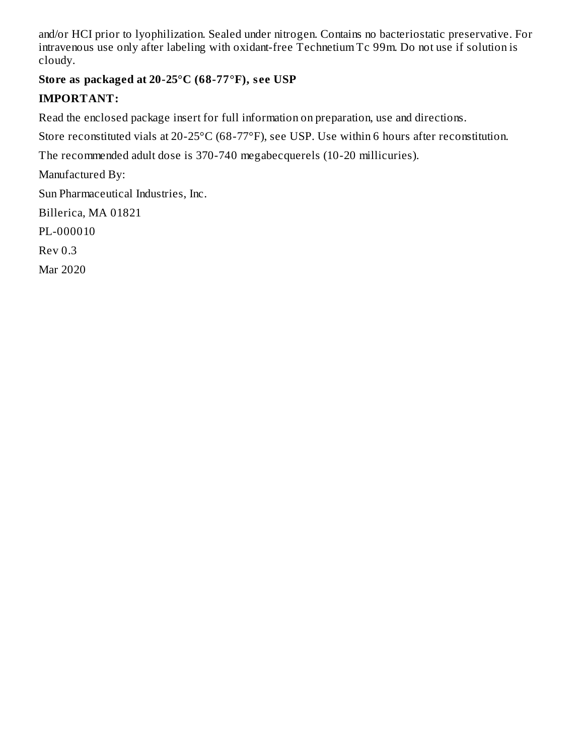and/or HCI prior to lyophilization. Sealed under nitrogen. Contains no bacteriostatic preservative. For intravenous use only after labeling with oxidant-free Technetium Tc 99m. Do not use if solution is cloudy.

# **Store as packaged at 20-25°C (68-77°F), s ee USP**

## **IMPORTANT:**

Read the enclosed package insert for full information on preparation, use and directions.

Store reconstituted vials at 20-25°C (68-77°F), see USP. Use within 6 hours after reconstitution.

The recommended adult dose is 370-740 megabecquerels (10-20 millicuries).

Manufactured By:

Sun Pharmaceutical Industries, Inc.

Billerica, MA 01821

PL-000010

Rev 0.3

Mar 2020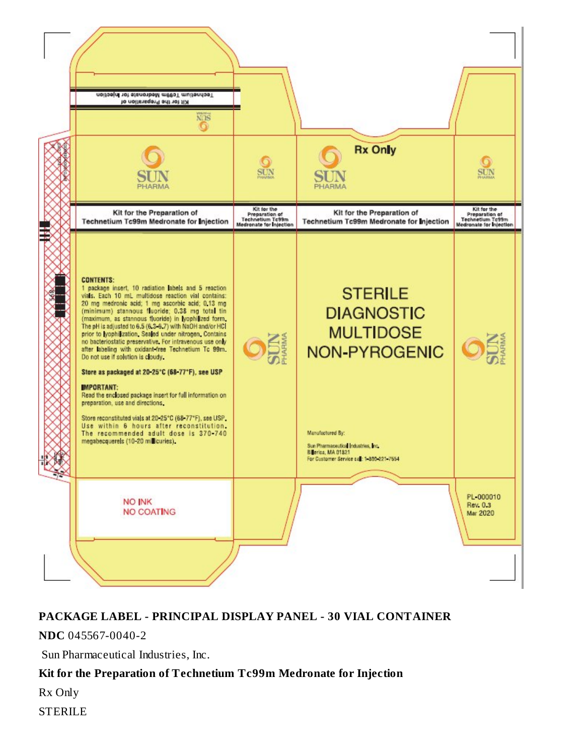

#### **PACKAGE LABEL - PRINCIPAL DISPLAY PANEL - 30 VIAL CONTAINER**

**NDC** 045567-0040-2

Sun Pharmaceutical Industries, Inc.

#### **Kit for the Preparation of Technetium Tc99m Medronate for Injection**

Rx Only

STERILE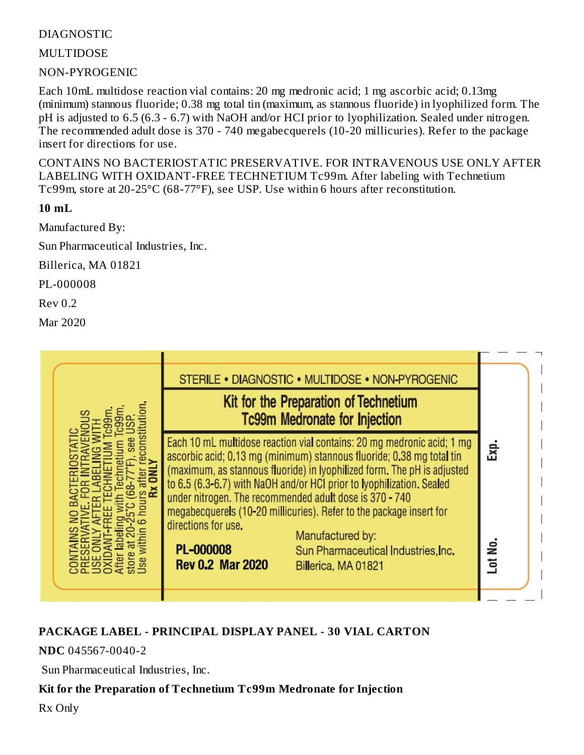### DIAGNOSTIC

MULTIDOSE

NON-PYROGENIC

Each 10mL multidose reaction vial contains: 20 mg medronic acid; 1 mg ascorbic acid; 0.13mg (minimum) stannous fluoride; 0.38 mg total tin (maximum, as stannous fluoride) in lyophilized form. The pH is adjusted to 6.5 (6.3 - 6.7) with NaOH and/or HCI prior to lyophilization. Sealed under nitrogen. The recommended adult dose is 370 - 740 megabecquerels (10-20 millicuries). Refer to the package insert for directions for use.

CONTAINS NO BACTERIOSTATIC PRESERVATIVE. FOR INTRAVENOUS USE ONLY AFTER LABELING WITH OXIDANT-FREE TECHNETIUM Tc99m. After labeling with Technetium Tc99m, store at 20-25°C (68-77°F), see USP. Use within 6 hours after reconstitution.

**10 mL**

Manufactured By:

Sun Pharmaceutical Industries, Inc.

Billerica, MA 01821

PL-000008

Rev 0.2

Mar 2020

|                                                                    | STERILE . DIAGNOSTIC . MULTIDOSE . NON-PYROGENIC<br>Kit for the Preparation of Technetium<br><b>Tc99m Medronate for Injection</b>                                                                                                                                                                                                                                                                                                                                                                                       |                 |
|--------------------------------------------------------------------|-------------------------------------------------------------------------------------------------------------------------------------------------------------------------------------------------------------------------------------------------------------------------------------------------------------------------------------------------------------------------------------------------------------------------------------------------------------------------------------------------------------------------|-----------------|
| directions for use.<br><b>PL-000008</b><br><b>Rev 0.2 Mar 2020</b> | Each 10 mL multidose reaction vial contains: 20 mg medronic acid; 1 mg<br>ascorbic acid; 0.13 mg (minimum) stannous fluoride; 0.38 mg total tin<br>(maximum, as stannous fluoride) in lyophilized form. The pH is adjusted<br>to 6.5 (6.3-6.7) with NaOH and/or HCI prior to Iyophilization. Sealed<br>under nitrogen. The recommended adult dose is 370 - 740<br>megabecquerels (10-20 millicuries). Refer to the package insert for<br>Manufactured by:<br>Sun Pharmaceutical Industries, Inc.<br>Billerica, MA 01821 | Εxρ.<br>Lot No. |

# **PACKAGE LABEL - PRINCIPAL DISPLAY PANEL - 30 VIAL CARTON**

**NDC** 045567-0040-2

Sun Pharmaceutical Industries, Inc.

### **Kit for the Preparation of Technetium Tc99m Medronate for Injection**

Rx Only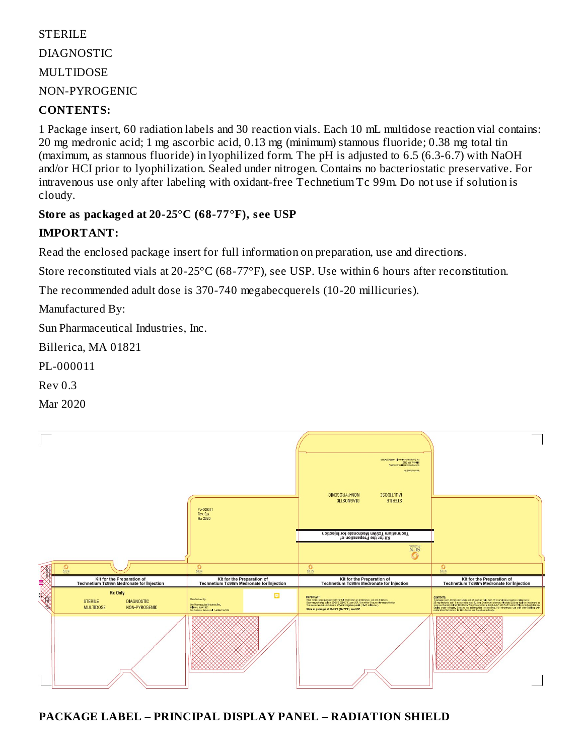# STERILE DIAGNOSTIC MULTIDOSE NON-PYROGENIC

#### **CONTENTS:**

1 Package insert, 60 radiation labels and 30 reaction vials. Each 10 mL multidose reaction vial contains: 20 mg medronic acid; 1 mg ascorbic acid, 0.13 mg (minimum) stannous fluoride; 0.38 mg total tin (maximum, as stannous fluoride) in lyophilized form. The pH is adjusted to 6.5 (6.3-6.7) with NaOH and/or HCI prior to lyophilization. Sealed under nitrogen. Contains no bacteriostatic preservative. For intravenous use only after labeling with oxidant-free Technetium Tc 99m. Do not use if solution is cloudy.

#### **Store as packaged at 20-25°C (68-77°F), s ee USP**

### **IMPORTANT:**

Read the enclosed package insert for full information on preparation, use and directions.

Store reconstituted vials at 20-25°C (68-77°F), see USP. Use within 6 hours after reconstitution.

The recommended adult dose is 370-740 megabecquerels (10-20 millicuries).

Manufactured By:

Sun Pharmaceutical Industries, Inc.

Billerica, MA 01821

PL-000011

Rev 0.3

Mar 2020



**PACKAGE LABEL – PRINCIPAL DISPLAY PANEL – RADIATION SHIELD**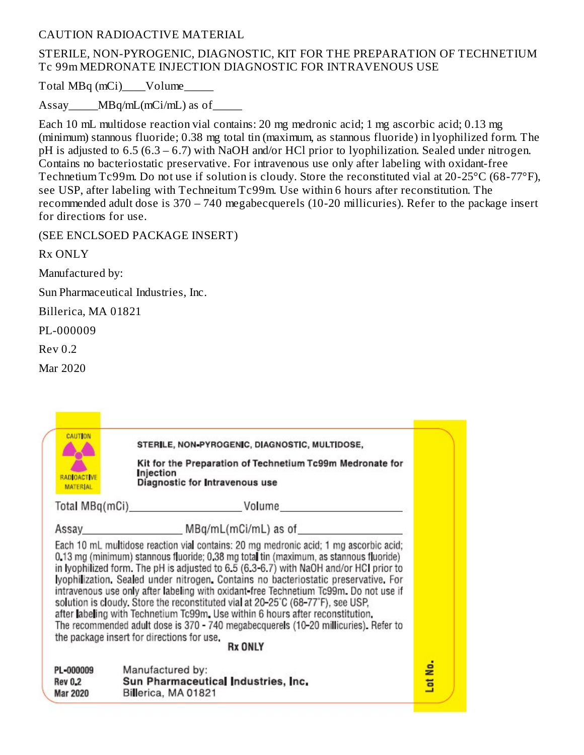#### CAUTION RADIOACTIVE MATERIAL

#### STERILE, NON-PYROGENIC, DIAGNOSTIC, KIT FOR THE PREPARATION OF TECHNETIUM Tc 99m MEDRONATE INJECTION DIAGNOSTIC FOR INTRAVENOUS USE

Total MBq (mCi) Volume

Assay MBq/mL(mCi/mL) as of

Each 10 mL multidose reaction vial contains: 20 mg medronic acid; 1 mg ascorbic acid; 0.13 mg (minimum) stannous fluoride; 0.38 mg total tin (maximum, as stannous fluoride) in lyophilized form. The pH is adjusted to 6.5 (6.3 – 6.7) with NaOH and/or HCl prior to lyophilization. Sealed under nitrogen. Contains no bacteriostatic preservative. For intravenous use only after labeling with oxidant-free Technetium Tc99m. Do not use if solution is cloudy. Store the reconstituted vial at 20-25°C (68-77°F), see USP, after labeling with Techneitum Tc99m. Use within 6 hours after reconstitution. The recommended adult dose is 370 – 740 megabecquerels (10-20 millicuries). Refer to the package insert for directions for use.

(SEE ENCLSOED PACKAGE INSERT)

Rx ONLY

Manufactured by:

Sun Pharmaceutical Industries, Inc.

Billerica, MA 01821

PL-000009

Rev 0.2

Mar 2020

| <b>CAUTION</b><br><b>RADIOACTIVE</b><br><b>MATERIAL</b> | STERILE, NON-PYROGENIC, DIAGNOSTIC, MULTIDOSE,<br>Kit for the Preparation of Technetium Tc99m Medronate for<br>njection<br>Diagnostic for Intravenous use                                                                                                                                                                                                                                                                                                                                                                                                                                                                                                                                                                                                                              |         |
|---------------------------------------------------------|----------------------------------------------------------------------------------------------------------------------------------------------------------------------------------------------------------------------------------------------------------------------------------------------------------------------------------------------------------------------------------------------------------------------------------------------------------------------------------------------------------------------------------------------------------------------------------------------------------------------------------------------------------------------------------------------------------------------------------------------------------------------------------------|---------|
|                                                         |                                                                                                                                                                                                                                                                                                                                                                                                                                                                                                                                                                                                                                                                                                                                                                                        |         |
|                                                         | Assay MBq/mL(mCi/mL) as of                                                                                                                                                                                                                                                                                                                                                                                                                                                                                                                                                                                                                                                                                                                                                             |         |
|                                                         | Each 10 mL multidose reaction vial contains: 20 mg medronic acid; 1 mg ascorbic acid;<br>0.13 mg (minimum) stannous fluoride; 0.38 mg total tin (maximum, as stannous fluoride)<br>in Iyophilized form. The pH is adjusted to 6.5 (6.3-6.7) with NaOH and/or HCI prior to<br>lyophilization. Sealed under nitrogen. Contains no bacteriostatic preservative. For<br>intravenous use only after labeling with oxidant-free Technetium Tc99m. Do not use if<br>solution is cloudy. Store the reconstituted vial at 20-25°C (68-77°F), see USP,<br>after labeling with Technetium Tc99m. Use within 6 hours after reconstitution.<br>The recommended adult dose is 370 - 740 megabecquerels (10-20 millicuries). Refer to<br>the package insert for directions for use.<br><b>Rx ONLY</b> |         |
|                                                         |                                                                                                                                                                                                                                                                                                                                                                                                                                                                                                                                                                                                                                                                                                                                                                                        | Lot No. |